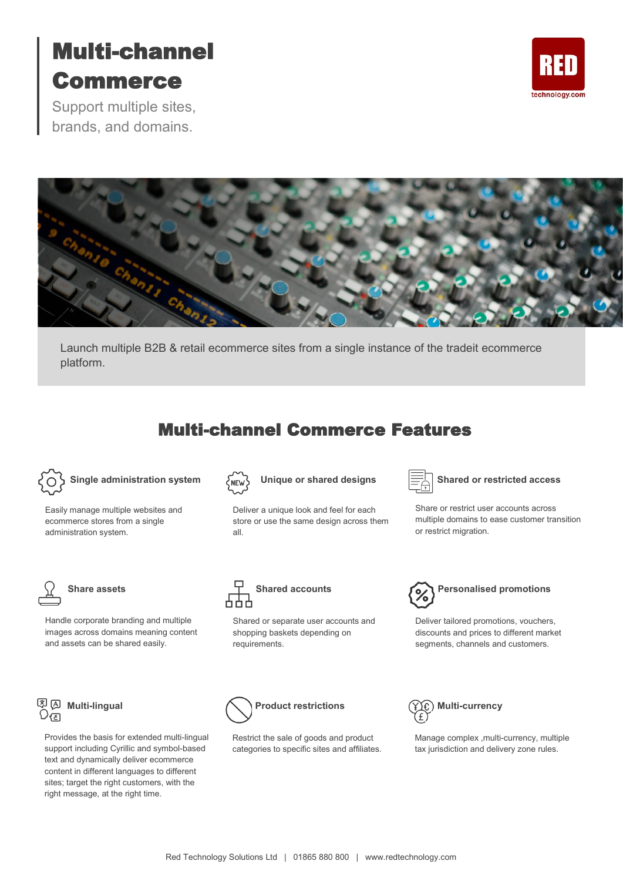# Multi-channel Commerce

Support multiple sites, brands, and domains.





Launch multiple B2B & retail ecommerce sites from a single instance of the tradeit ecommerce platform.

## Multi-channel Commerce Features



Easily manage multiple websites and ecommerce stores from a single administration system.



Handle corporate branding and multiple images across domains meaning content and assets can be shared easily.



Provides the basis for extended multi-lingual support including Cyrillic and symbol-based text and dynamically deliver ecommerce content in different languages to different sites; target the right customers, with the right message, at the right time.



Deliver a unique look and feel for each store or use the same design across them all.



### Unique or shared designs  $\equiv \qquad \equiv \qquad \qquad$  Shared or restricted access

Share or restrict user accounts across multiple domains to ease customer transition or restrict migration.



Shared or separate user accounts and shopping baskets depending on requirements.



Deliver tailored promotions, vouchers, discounts and prices to different market segments, channels and customers.



Restrict the sale of goods and product categories to specific sites and affiliates.



Manage complex ,multi-currency, multiple tax jurisdiction and delivery zone rules.